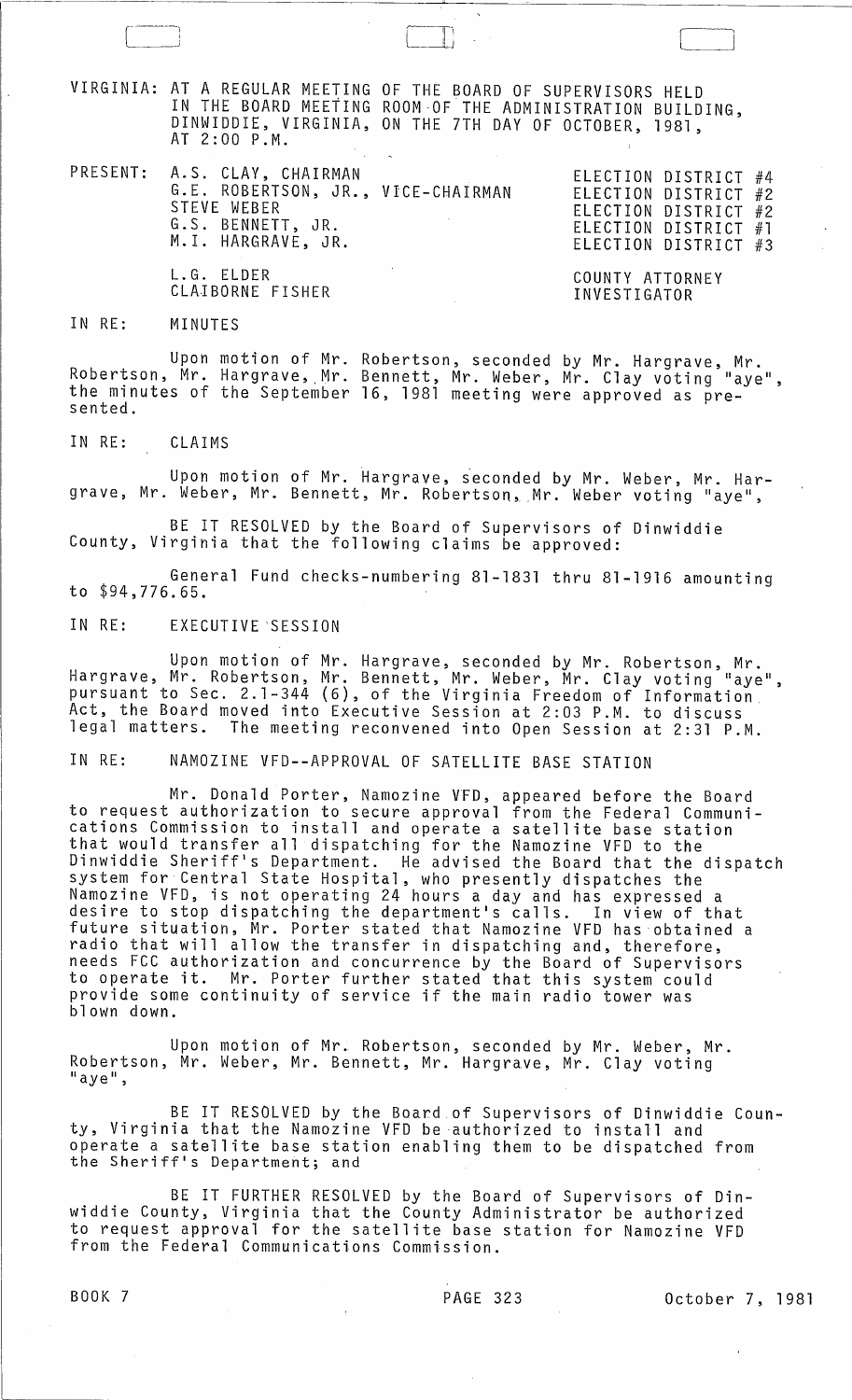VIRGINIA: AT A REGULAR MEETING OF THE BOARD OF SUPERVISORS HELD IN THE BOARD MEETING ROOM-OF THE ADMINISTRATION BUILDING, DINWIDDIE, VIRGINIA, ON THE 7TH DAY OF OCTOBER, 1981, AT 2:00 P.M.

PRESENT: A.S. CLAY, CHAIRMAN ELECTION DISTRICT #4 G.E. ROBERTSON, JR., VICE-CHAIRMAN STEVE WEBER G.S. BENNETT, JR. **M.I. HARGRAVE, JR.** 

ELECTION DISTRICT #4<br>ELECTION DISTRICT #2 ELECTION DISTRICT #2 ELECTION DISTRICT #1 ELECTION DISTRICT #3

COUNTY ATTORNEY INVESTIGATOR

## IN RE: MINUTES

L.G. ELDER

CLAIBORNE FISHER

Upon motion of Mr. Robertson, seconded by Mr. Hargrave, Mr. Robertson, Mr. Hargrave, Mr. Bennett, Mr. Weber, Mr. Clay voting "aye", the minutes of the September 16, 1981 meeting were approved as pre-<br>sented.

IN RE: CLAIMS

Upon motion of Mr. Hargrave, ieconded by Mr. Weber, Mr. Hargrave, Mr. Weber, Mr. Bennett, Mr. Robertson, Mr. Weber voting "aye",

BE IT RESOLVED by the Board of Supervisors of Dinwiddie County, Virginia that the following claims be approved:

General Fund checks-numbering 81-1831 thru 81-1916 amounting to \$94,776.65.

IN RE: EXECUTIVE'SESSION

Upon motion of Mr. Hargrave, seconded by Mr. Robertson, Mr. Hargrave, Mr. Robertson, Mr. Bennett, Mr. Weber, Mr. Clay voting "aye", pursuant to Sec. 2.1-344 (6), of the Virginia Freedom of Information Act, the Board moved into Executive Session at 2:03 P.M. to discuss legal matters. The meeting reconvened into Open Session at 2:31 P.M.

IN RE: NAMOZINE VFD--APPROVAL OF SATELLITE BASE STATION

Mr. Donald Porter, Namozine VFD, appeared before the Board to request authorization to secure approval from the Federal Communications Commission to install and operate a satellite base station that would transfer all dispatching for the Namozine VFD to the Dinwiddie Sheriff's Department. He advised the Board that the dispatch system for Central State Hospital, who presently dispatches the Namozine VFD, is not operating 24 hours a day and has expressed a desire to stop dispatching the department's calls. In view of that future situation, Mr. Porter stated that Namozine VFD has obtained a radio that will allow the transfer in dispatching and, therefore, needs FCC authorization and concurrence by the Board of Supervisors to operate it. Mr. Porter further stated that this system could provide some continuity of service if the main radio tower was blown down.

Upon motion of Mr. Robertson, seconded by Mr. Weber, Mr. Robertson, Mr. Weber, Mr. Bennett, Mr. Hargrave, Mr. Clay voting<br>"aye",

BE IT RESOLVED by the Board of Supervisors of Dinwiddie County, Virginia that the Namozine VFD be authorized to install and operate a satellite base station enabling them to be dispatched from the Sheriff's Department; and

BE IT FURTHER RESOLVED by the Board of Supervisors of Dinwiddie County, Virginia that the County Administrator be authorized to request approval for the satellite base station for Namozine VFD from the Federal Communications Commission.

BOOK 7 PAGE 323 October 7, 1981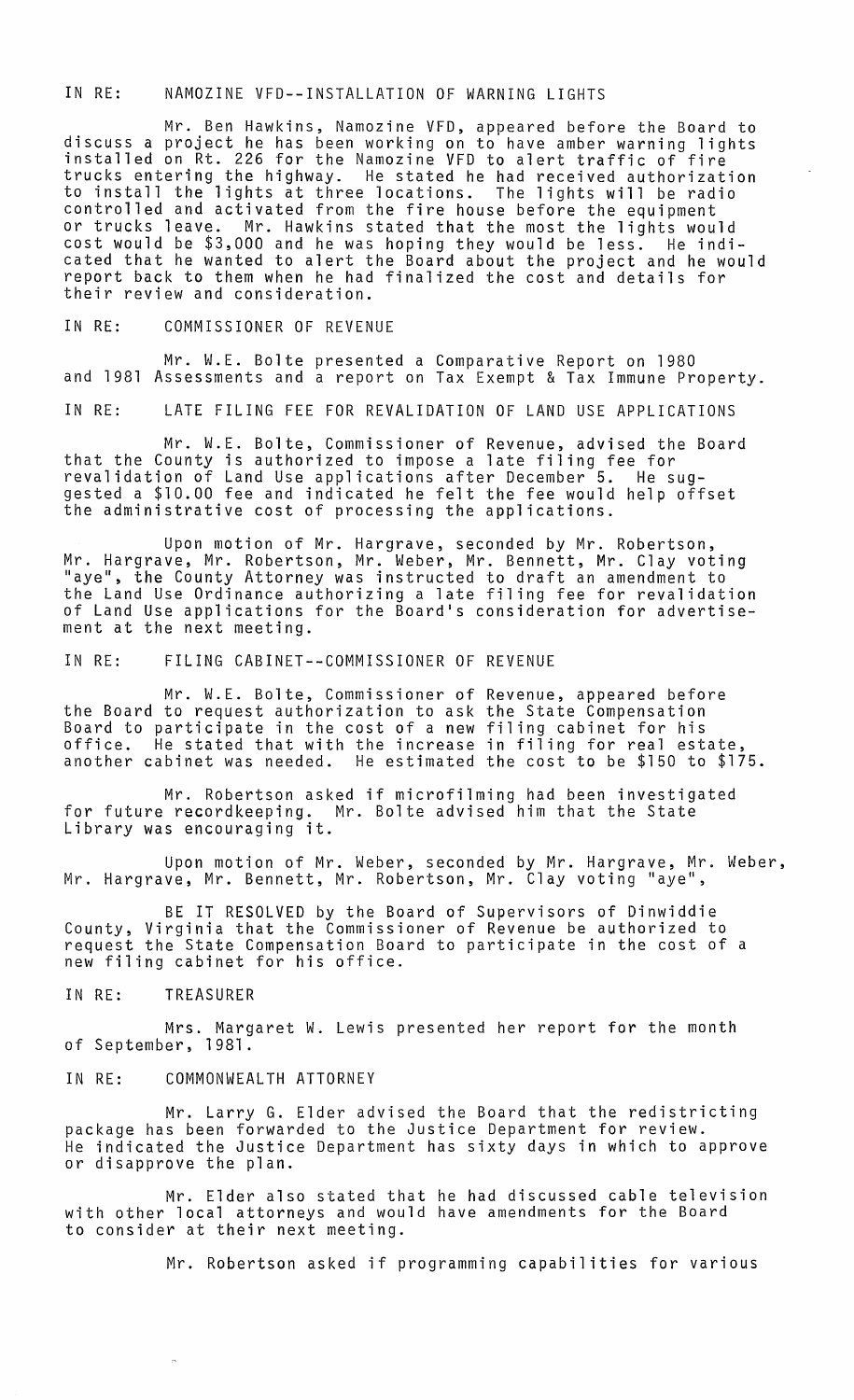## IN RE: NAMOZINE VFD--INSTALLATION OF WARNING LIGHTS

Mr. Ben Hawkins, Namozine VFD, appeared before the Board to discuss a project he has been working on to have amber warning lights installed on Rt. 226 for the Namozine VFD to alert traffic of fire trucks entering the highway. He stated he had received authorization to install the lights at three locations. The lights will be radio controlled and activated from the fire house before the equipment or trucks leave. Mr. Hawkins stated that the most the lights would cost would be \$3,000 and he was hoping they would be less. He indicated that he wanted to alert the Board about the project and he would report back to them when he had finalized the cost and details for their review and consideration.

IN RE: COMMISSIONER OF REVENUE

Mr. W.E. Bolte presented a Comparative Report on 1980 and 1981 Assessments and a report on Tax Exempt & Tax Immune Property.

IN RE: LATE FILING FEE FOR REVALIDATION OF LAND USE APPLICATIONS

Mr. W.E. Bolte, Commissioner of Revenue, advised the Board that the County is authorized to impose a late filing fee for revalidation of Land Use applications after December 5. He suggested a \$10.00 fee and indicated he felt the fee would help offset the administrative cost of processing the applications.

Upon motion of Mr. Hargrave, seconded by Mr. Robertson, Mr. Hargrave, Mr. Robertson, Mr. Weber, Mr. Bennett, Mr. Clay voting "aye", the County Attorney was instructed to draft an amendment to the Land Use Ordinance authorizing a late filing fee for revalidation of Land Use applications for the Board's consideration for advertisement at the next meeting.

IN RE: FILING CABINET--COMMISSIONER OF REVENUE

Mr. W.E. Bolte, Commissioner of Revenue, appeared before the Board to request authorization to ask the State Compensation Board to participate in the cost of a new filing cabinet for his office. He stated that with the increase in filing for real estate, another cabinet was needed. He estimated the cost $\check{\,}$ to be \$150 to \$175.

Mr. Robertson asked if microfilming had been investigated for future recordkeeping. Mr. Bolte advised him that the State Library was encouraging it.

Upon motion of Mr. Weber, seconded by Mr. Hargrave, Mr. Weber, Mr. Hargrave, Mr. Bennett, Mr. Robertson, Mr. Clay voting "aye",

BE IT RESOLVED by the Board of Supervisors of Dinwiddie County, Virginia that the Commissioner of Revenue be authorized to request the State Compensation Board to participate in the cost of a new filing cabinet for his office.

IN RE: TREASURER

Mrs. Margaret W. Lewis presented her report for the month of September, 1981.

IN RE: COMMONWEALTH ATTORNEY

Mr. Larry G. Elder advised the Board that the redistricting package has been forwarded to the Justice Department for review. He indicated the Justice Department has sixty days in which to approve or disapprove the plan.

Mr. Elder also stated that he had discussed cable television with other local attorneys and would have amendments for the Board to consider at their next meeting.

Mr. Robertson asked if programming capabilities for various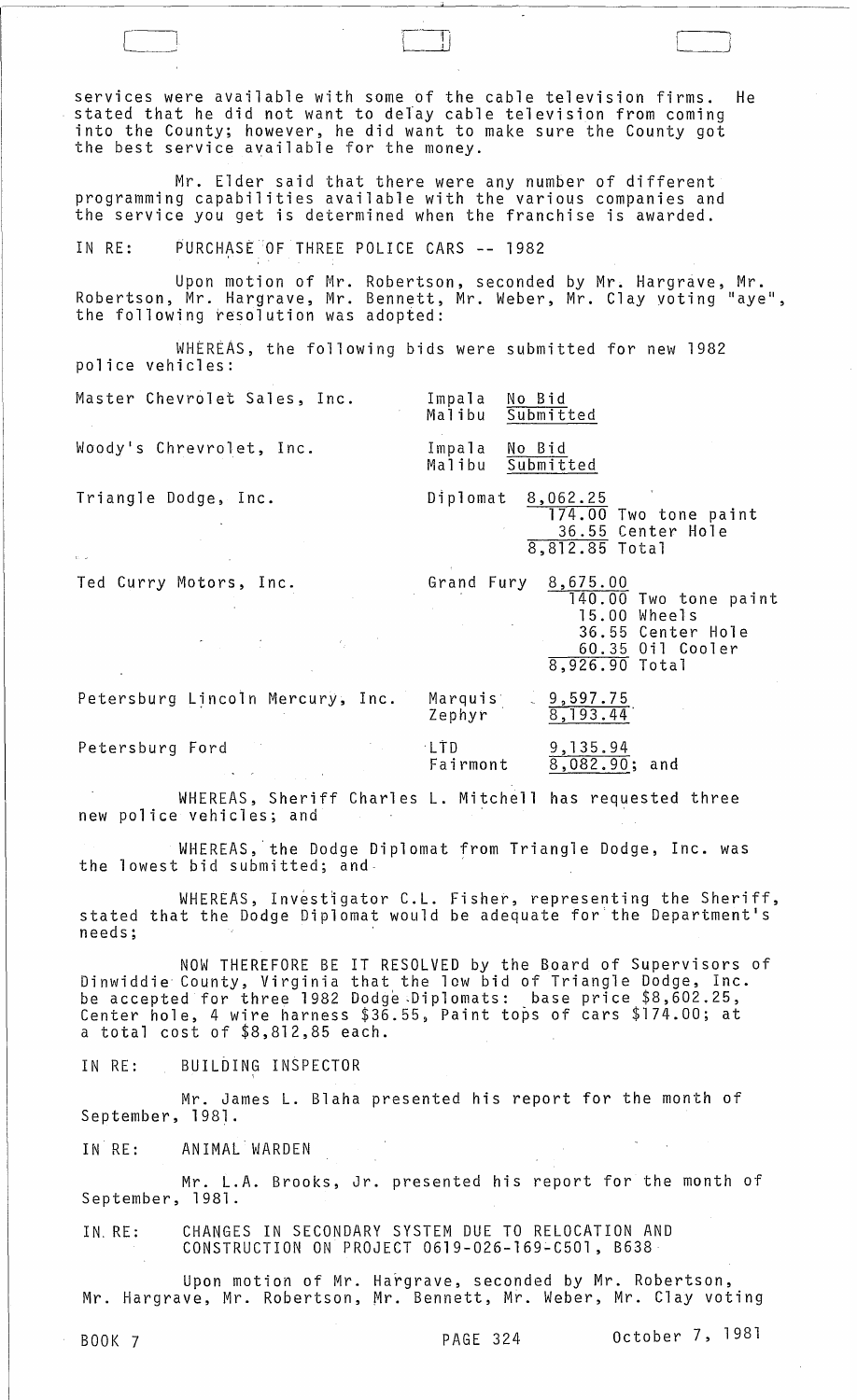services were available with some of the cable television firms. He stated that he did not want to delay cable television from coming into the County; however, he did want to make sure the County got the best service available for the money.

Mr. Elder said that there were any number of different programming capabilities available with the various companies and the service you get is determined when the franchise is awarded.

IN RE: PURCHASE OF THREE POLICE CARS -- 1982

 $\begin{bmatrix} 1 & 1 \\ 1 & 1 \end{bmatrix}$ 

Upon motion of Mr. Robertson, seconded by Mr. Hargrave, Mr.  $\overline{a}$ Robertson, Mr. Hargrave, Mr. Bennett, Mr. Weber, Mr. Clay voting "aye", the following resolution was adopted:

WHEREAS, the following bids were submitted for new 1982 police vehicles:

Master Chevrolet Sales, Inc.

Woody's Chrevrolet, Inc.

Impala <u>No Bid</u><br>Malibu Submit Submitted

Submitted

Impala <u>No Bid</u><br>Malibu Submit

Triangle Dodge, Inc.

Diplomat 8,062.25 174.00 Two tone paint 36.55 Center Hole 8,812.85 Total

Ted Curry Motors, Inc.

Grand Fury 8,675.00 140.00 Two tone paint 15.00 Wheels 36.55 Center Hole 60.35 Oil Cooler 8,926.90 Total

Petersburg Lincoln Mercury, Inc.

Petersburg Ford

Marquis Zephyr '  $9,597.75$ 8,193.44'

Fairmont 9,135.94  $8,082.90$ ; and

WHEREAS, Sheriff Charles L. Mitchell has requested three new police vehicles; and

 $\mathcal{L}_{\rm{max}}$ 

, LTD

WHEREAS,'the Dodge Diplomat from Triangle Dodge, Inc. was the lowest bid submitted; and-

WHEREAS, Investigator C.L. Fisher, representing the Sheriff, stated that the Dodge Diplomat would be adequate for the Department's needs;

NOW THEREFORE BE IT RESOLVED by the Board of Supervisors of Dinwiddie County, Virginia that the low bid of Triangle Dodge, Inc. be accepted for three 1982 Dodge ,Diplomats: base price \$8,602.25, center hole, 4 wire harness \$36.55, Paint tops of cars \$174.00; at a total cost of \$8,812,85 each.

IN RE: BUILDING INSPECTOR

Mr. James L. Blaha presented his report for the month of September, 1981.

IN RE: ANIMAL WARDEN

Mr. L.A. Brooks, Jr. presented his report for the month of September, 1981.

IN, RE: CHANGES IN SECONDARY SYSTEM DUE TO RELOCATION AND CONSTRUCTION ON PROJECT 0619-026-l69~C501, B638

Upon motion of Mr. Hargrave, seconded by Mr. Robertson, Mr. Hargrave, Mr. Robertson, Mr. Bennett, Mr. Weber, Mr. Clay voting

BOOK 7 **PAGE 324** October 7, 1981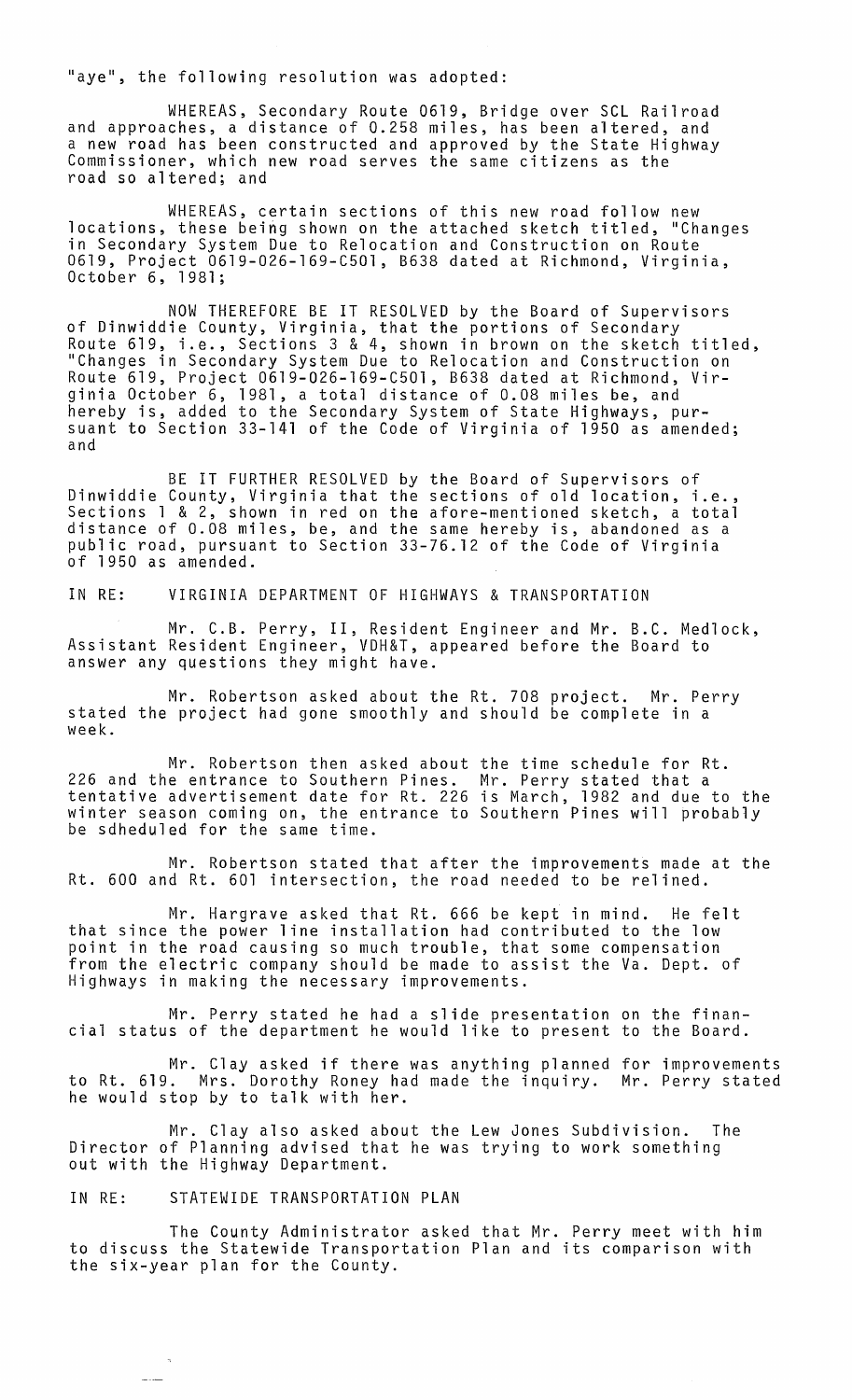"aye", the following resolution was adopted:

WHEREAS, Secondary Route 0619, Bridge over SCL Railroad and approaches, a distance of 0.258 miles, has been altered, and a new road has been constructed and approved by the State Highway Commissioner, which new road serves the same citizens as the road so altered; and

WHEREAS, certain sections of this new road follow new locations, these being shown on the attached sketch titled, "Changes in Secondary System Due to Relocation and Construction on Route 0619, Project 06l9-026-l69-C50l, B638 dated at Richmond, Virginia, October 6, 1981;

NOW THEREFORE BE IT RESOLVED by the Board of Supervisors of Dinwiddie County, Virginia, that the portions of Secondary Route 619, i.e., Sections 3 & 4, shown in brown on the sketch titled, "Changes in Secondary System Due to Relocation and Construction on Route 619, Project 06l9-026-l69-C50l, B638 dated at Richmond, Virginia October 6, 1981, a total distance of 0.08 miles be, and hereby is, added to the Secondary System of State Highways, pursuant to Section 33-141 of the Code of Virginia of 1950 as amended; and

BE IT FURTHER RESOLVED by the Board of Supervisors of Dinwiddie County, Virginia that the sections of old location, i.e., Sections 1 & 2, shown in red on the afore-mentioned sketch, a total distance of 0.08 miles, be, and the same hereby is, abandoned as a public road, pursuant to Section 33-76.12 of the Code of Virginia<br>of 1950 as amended.

IN RE: VIRGINIA DEPARTMENT OF HIGHWAYS & TRANSPORTATION

Mr. C.B. Perry, II, Resident Engineer and Mr. B.C. Medlock, Assistant Resident Engineer, VDH&T, appeared before the Board to answer any questions they might have.

Mr. Robertson asked about the Rt. 708 project. Mr. Perry stated the project had gone smoothly and should be complete in a week.

Mr. Robertson then asked about 226 and the entrance to Southern Pines. tentative advertisement date for Rt. 226 winter season coming on, the entrance to be sdheduled for the same time. the time schedule for Rt. Mr. Perry stated that a is March, 1982 and due to the Southern Pines will probably

Mr. Robertson stated that after the improvements made at the Rt. 600 and Rt. 601 intersection, the road needed to be relined.

Mr. Hargrave asked that Rt. 666 be kept in mind. He felt that since the power line installation had contributed to the low point in the road causing so much trouble, that some compensation from the electric company should be made to assist the Va. Dept. of Highways in making the necessary improvements.

Mr. Perry stated he had a slide presentation on the financial status of the department he would like to present to the Board.

Mr. Clay asked if there was anything planned for improvements to Rt. 619. Mrs. Dorothy Roney had made the inquiry. Mr. Perry stated he would stop by to talk with her.

Mr. Clay also asked about the Lew Jones Subdivision. The Director of Planning advised that he was trying to work something out with the Highway Department.

## IN RE: STATEWIDE TRANSPORTATION PLAN

The County Administrator asked that Mr. Perry meet with him to discuss the Statewide Transportation Plan and its comparison with the six-year plan for the County.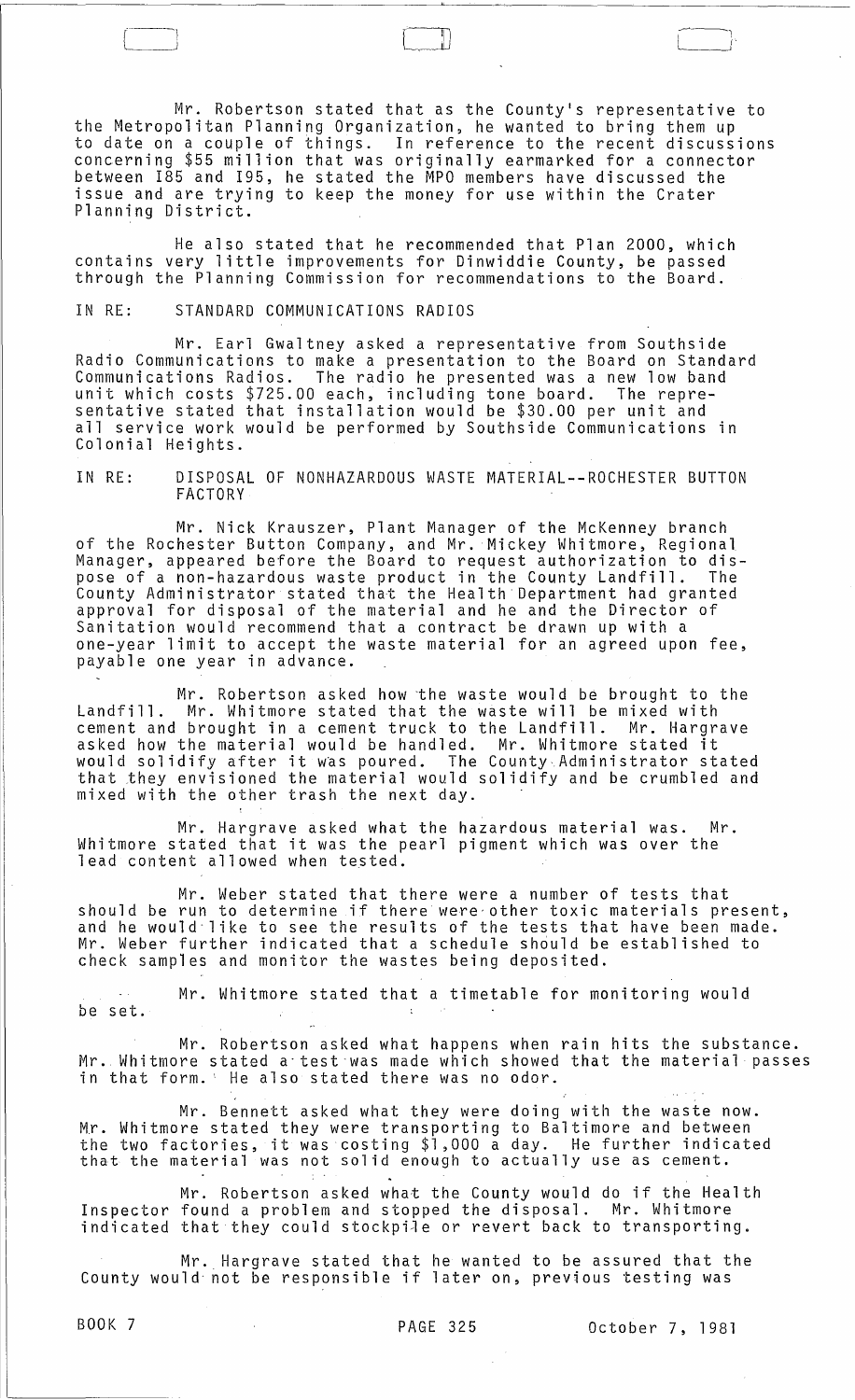Mr. Robertson stated that as the County's representative to the Metropolitan Planning Organization, he wanted to bring them up to date on a couple of things. In reference to the recent discussions concerning \$55 million that was originally earmarked for a connector between 185 and 195, he stated the MPO members have discussed the issue and are trying to keep the money for use within the Crater Planning District.

He also stated that he recommended that Plan 2000, which contains very little improvements for Dinwiddie County, be passed through the Planning Commission for recommendations to the Board.

IN RE: STANDARD COMMUNICATIONS RADIOS

 $\subset$ 

Mr. Earl Gwaltney asked a representative from Southside Radio Communications to make a presentation to the Board on Standard<br>Communications Radios. The radio he presented was a new low band The radio he presented was a new low band unit which costs \$725.00 each, including tone board. The representative stated that installation would be \$30.00 per unit and all service work would be performed by Southside Communications in Colonial Heights.

IN RE: DISPOSAL OF NONHAZARDOUS WASTE MATERIAL--ROCHESTER BUTTON FACTORY

Mr. Nick Krauszer, Plant Manager of the McKenney branch of the Rochester Button Company, and Mr. Mickey Whitmore, Regional Manager, appeared before the Board to request authorization to dispose of a non-hazardous waste product in the County Landfill. The County Administrator stated that the Health Department had granted approval for disposal of the material and he and the Director of Sanitation would recommend that a contract be drawn up with a one-year limit to accept the waste material for an agreed upon fee, payable one year in advance.

Mr. Robertson asked how the waste would be brought to the Landfill. Mr. Whitmore stated that the waste will be mixed with cement and brought in a cement truck to the Landfill. Mr. Hargrave asked how the material would be handled. Mr. Whitmore stated it would solidify after it was poured. The County Administrator stated that they envisioned the material would solidify and be crumbled and mixed with the other trash the next day. .

Mr. Hargrave asked what the hazardous material was. Mr. Whitmore stated that it was the pearl pigment which was over the lead content allowed when tested.

Mr. Weber stated that there were a number of tests that should be run to determine if there were other toxic materials present, and he would' like to see the results of the tests that have been made. Mr. Weber further indicated that a schedule should be established to check samples and monitor the wastes being deposited.

Mr. Whitmore stated that a timetable for monitoring would be set.  $\mathcal{L}$  $\sim$   $\sim$ 

Mr. Robertson asked what happens when rain hits the substance. Mr. Whitmore stated a·test·was made which showed that the material passes in that form.' He also stated there was no odor.

Mr. Bennett asked what they were doing with the waste now. M.r. Whitmore stated they were transporting to Baltimore and between nr. whithore stated they were transporting to baitimore and between<br>the two factories, it was costing \$1,000 a day. He further indicated that the material was not solid enough to actually use as cement.

Mr. Robertson asked what the County would do if the Health Inspector found a problem and stopped the disposal. Mr. Whitmore indicated that they could stockpile or revert back to transporting.

Mr. Hargrave stated that he wanted to be assured that the County would- not be responsible if later on, previous testing was

BOOK 7 PAGE 325 October 7, 1981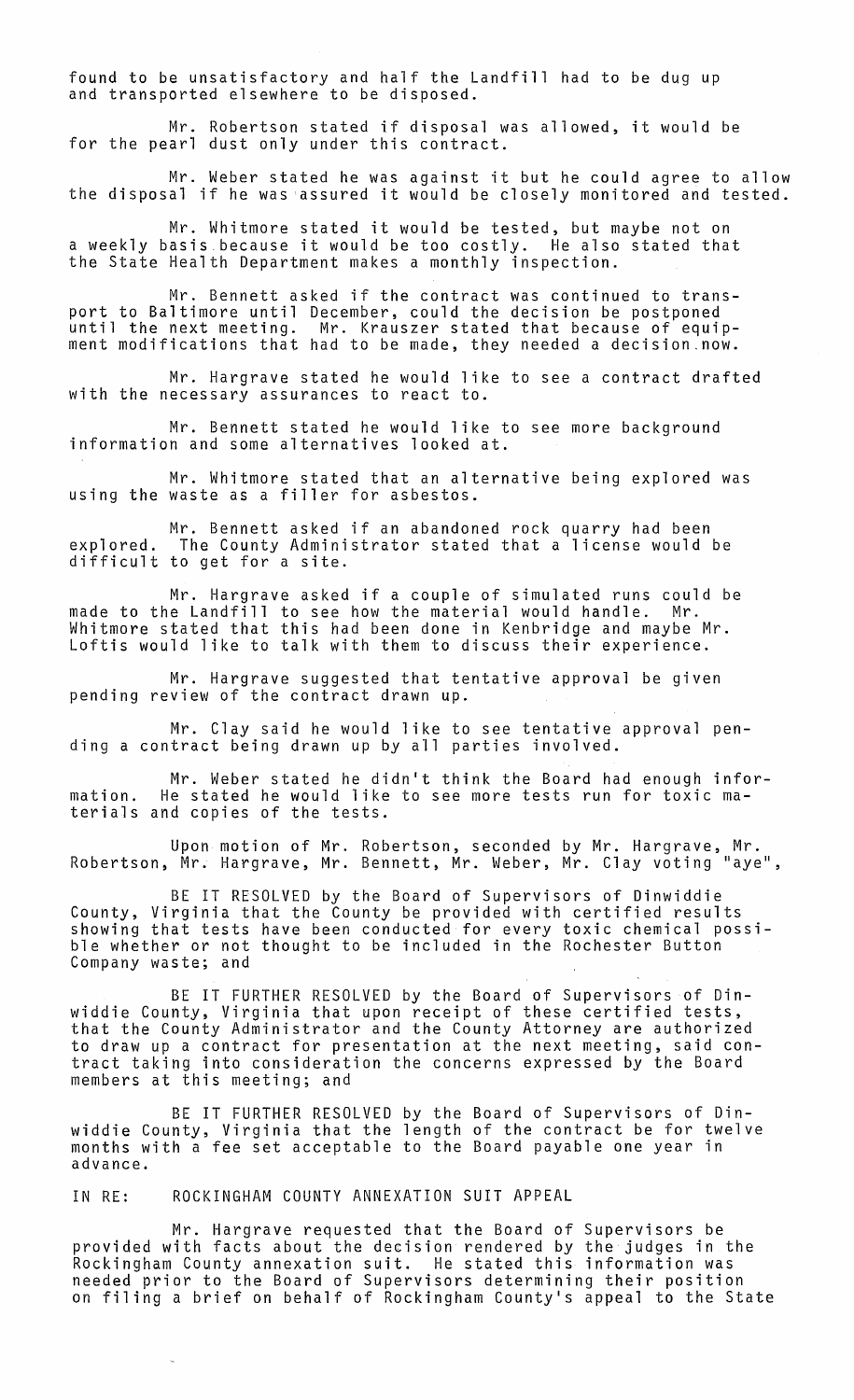found to be unsatisfactory and half the Landfill had to be dug up and transported elsewhere to be disposed.

Mr. Robertson stated if disposal was allowed, it would be for the pearl dust only under this contract.

Mr. Weber stated he was against it but he could agree to allow the disposal if he was assured it would be closely monitored and tested.

Mr. Whitmore stated it would be tested, but maybe not on a weekly basis because it would be too costly. He also stated that the State Health Department makes a monthly inspection.

Mr. Bennett asked if the contract was continued to transport to Baltimore until December, could the decision be postponed until the next meeting. Mr. Krauszer stated that because of equip-<br>ment modifications that had to be made, they needed a decision.now.

Mr. Hargrave stated he would like to see a contract drafted with the necessary assurances to react to.

Mr. Bennett stated he would like to see more background information and some alternatives looked at.

Mr. Whitmore stated that an alternative being explored was using the waste as a filler for asbestos.

Mr. Bennett asked if an abandoned rock quarry had been explored. The County Administrator stated that a license would be difficult to get for a site.

Mr. Hargrave asked if a couple of simulated runs could be made to the Landfill to see how the material would handle. Mr. Whitmore stated that this had been done in Kenbridge and maybe Mr. Loftis would like to talk with them to discuss their experience.

Mr. Hargrave suggested that tentative approval be given pending review of the contract drawn up.

Mr. Clay said he would like to see tentative approval pending a contract being drawn up by all parties involved.

Mr. Weber stated he didn't think the Board had enough information. He stated he would like to see more tests run for toxic materials and copies of the tests.

Upon motion of Mr. Robertson, seconded by Mr. Hargrave, Mr. Robertson, Mr. Hargrave, Mr. Bennett, Mr. Weber, Mr. Clay voting "aye",

BE IT RESOLVED by the Board of Supervisors of Dinwiddie County, Virginia that the County be provided with certified results showing that tests have been conducted for every toxic chemical possible whether or not thought to be included in the Rochester Button Company waste; and

BE IT FURTHER RESOLVED by the Board of Supervisors of Dinwiddie County, Virginia that upon receipt of these certified tests, that the County Administrator and the County Attorney are authorized to draw up a contract for presentation at the next meeting, said contract taking into consideration the concerns expressed by the Board members at this meeting; and

BE IT FURTHER RESOLVED by the Board of Supervisors of Dinwiddie County, Virginia that the length of the contract be for twelve months with a fee set acceptable to the Board payable one year in advance.

IN RE: ROCKINGHAM COUNTY ANNEXATION SUIT APPEAL

Mr. Hargrave requested that the Board of Supervisors be provided with facts about the decision rendered by the judges in the Rockingham County annexation suit. He stated this information was needed prior to the Board of Supervisors determining their position on filing a brief on behalf of Rockingham County's appeal to the State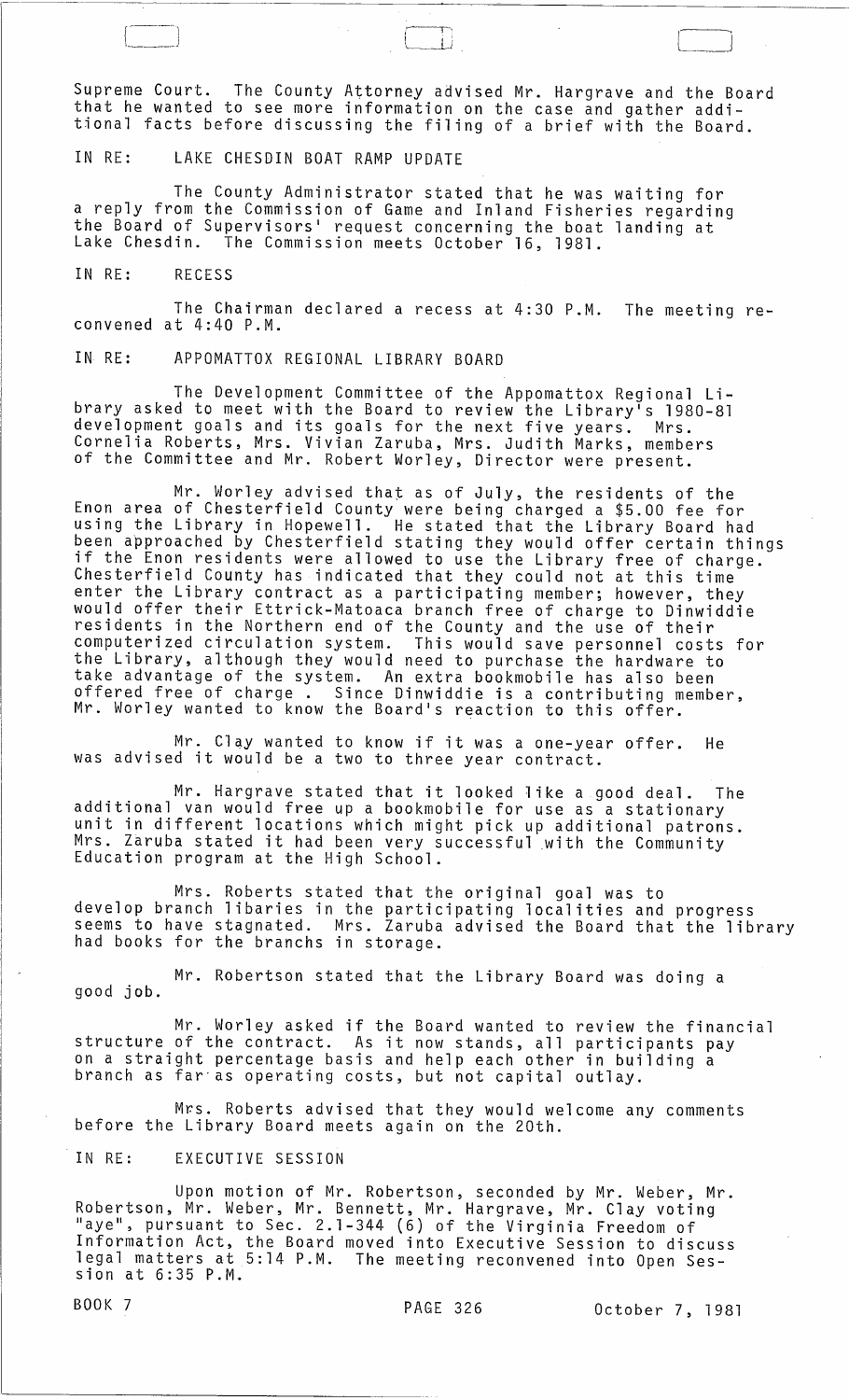Supreme Court. The County Attorney advised Mr. Hargrave and the Board that he wanted to see more information on the case and gather additional facts before discussing the filing of a brief with the Board.

 $\sqrt{1 + \frac{1}{2}}$ 

 $\qquad \qquad \qquad \Box$ 

IN RE: LAKE CHESDIN BOAT RAMP UPDATE

The County Administrator stated that he was waiting for a reply from the Commission of Game and Inland Fisheries regarding the Board of Supervisors' request concerning the boat landing at<br>Lake Chesdin. The Commission meets October 16, 1981. The Commission meets October 16, 1981.

IN RE: RECESS

The Chairman declared a recess at 4:30 P.M. The meeting reconvened at 4:40 P.M.

IN RE: APPOMATTOX REGIONAL LIBRARY BOARD

The Development Committee of the Appomattox Regional Library asked to meet with the Board to review the Library<sup>i</sup>s 1980-81 development goals and its goals for the next five years. Mrs. Cornelia Roberts, Mrs. Vivian Zaruba, Mrs. Judith Marks, members of the Committee and Mr. Robert Worley, Director were present.

Mr. Worley advised that as of July, the residents of the Enon area of Chesterfield County were being charged a \$5.00 fee for using the Library in Hopewell. He stated that the Library Board had been approached by Chesterfield stating they would offer certain things if the Enon residents were allowed to use the Library free of charge. Chesterfield County has indicated that they could not at this time enter the Library contract as a participating member; however, they would offer their Ettrick-Matoaca branch free of charge to Dinwiddie residents in the Northern end of the County and the use of their computerized circulation system. This would save personnel costs for the Library, although they would need to purchase the hardware to take advantage of the system. An extra bookmobile has also been offered free of charge. Since Dinwiddie is a contributing member, Mr. Worley wanted to know the Board's reaction to this offer.

Mr. Clay wanted to know if it was a one-year offer. He was advised it would be a two to three year contract.

Mr. Hargrave stated that it looked like a good deal. The additional van would free up a bookmobile for use as a stationary unit in different locations which might pick up additional patrons. Mrs. Zaruba stated it had been very successful with the Community Education program at the High School.

Mrs. Roberts stated that the original goal was to develop branch libaries in the participating localities and progress seems to have stagnated. Mrs. Zaruba advised the Board that the library<br>had books for the branchs in storage.

good job. Mr. Robertson stated that the Library Board was doing a

Mr. Worley asked if the Board wanted to review the financial structure of the contract. As it now stands, all participants pay on a straight percentage basis and help each other in building a branch as far"as operating costs, but not capital outlay.

Mrs. Roberts advised that they would welcome any comments before the Library Board meets again on the 20th.

IN RE: EXECUTIVE SESSION

Upon motion of Mr. Robertson, seconded by Mr. Weber, Mr. Robertson, Mr. Weber, Mr. Bennett, Mr. Hargrave, Mr. Clay voting "aye", pursuant to Sec. 2.1-344 (6) of the Virginia Freedom of Information Act, the Board moved into Executive Session to discuss legal matters at 5:14 P.M. The meeting reconvened into Open Session at 6:35 P.M.

BOOK 7 PAGE 326 October 7, 1981